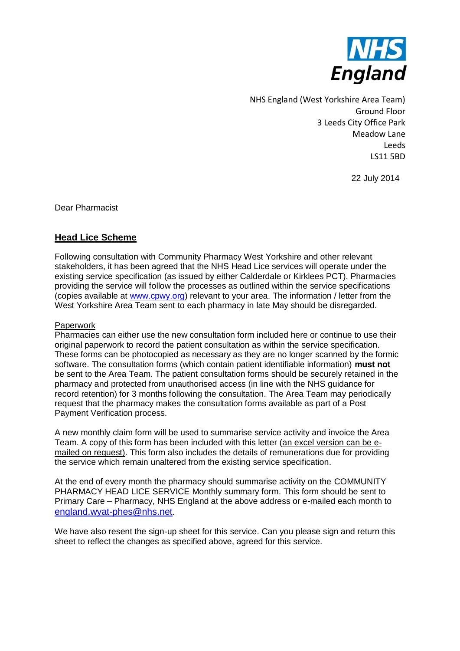

NHS England (West Yorkshire Area Team) Ground Floor 3 Leeds City Office Park Meadow Lane Leeds LS11 5BD

22 July 2014

Dear Pharmacist

# **Head Lice Scheme**

Following consultation with Community Pharmacy West Yorkshire and other relevant stakeholders, it has been agreed that the NHS Head Lice services will operate under the existing service specification (as issued by either Calderdale or Kirklees PCT). Pharmacies providing the service will follow the processes as outlined within the service specifications (copies available at [www.cpwy.org\)](http://www.cpwy.org/) relevant to your area. The information / letter from the West Yorkshire Area Team sent to each pharmacy in late May should be disregarded.

#### Paperwork

Pharmacies can either use the new consultation form included here or continue to use their original paperwork to record the patient consultation as within the service specification. These forms can be photocopied as necessary as they are no longer scanned by the formic software. The consultation forms (which contain patient identifiable information) **must not** be sent to the Area Team. The patient consultation forms should be securely retained in the pharmacy and protected from unauthorised access (in line with the NHS guidance for record retention) for 3 months following the consultation. The Area Team may periodically request that the pharmacy makes the consultation forms available as part of a Post Payment Verification process.

A new monthly claim form will be used to summarise service activity and invoice the Area Team. A copy of this form has been included with this letter (an excel version can be emailed on request). This form also includes the details of remunerations due for providing the service which remain unaltered from the existing service specification.

At the end of every month the pharmacy should summarise activity on the COMMUNITY PHARMACY HEAD LICE SERVICE Monthly summary form. This form should be sent to Primary Care – Pharmacy, NHS England at the above address or e-mailed each month to [england.wyat-phes@nhs.net](mailto:england.wyat-phes@nhs.net).

We have also resent the sign-up sheet for this service. Can you please sign and return this sheet to reflect the changes as specified above, agreed for this service.